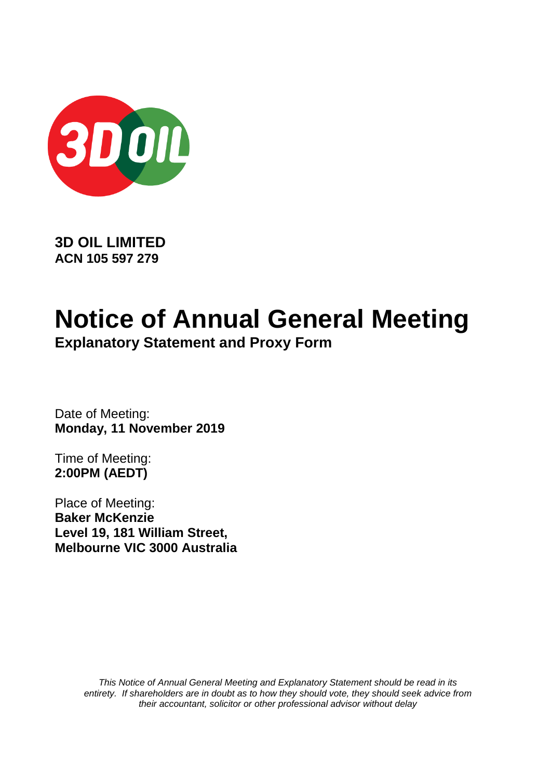

**3D OIL LIMITED ACN 105 597 279**

# **Notice of Annual General Meeting**

**Explanatory Statement and Proxy Form**

Date of Meeting: **Monday, 11 November 2019**

Time of Meeting: **2:00PM (AEDT)**

Place of Meeting: **Baker McKenzie Level 19, 181 William Street, Melbourne VIC 3000 Australia**

> *This Notice of Annual General Meeting and Explanatory Statement should be read in its entirety. If shareholders are in doubt as to how they should vote, they should seek advice from their accountant, solicitor or other professional advisor without delay*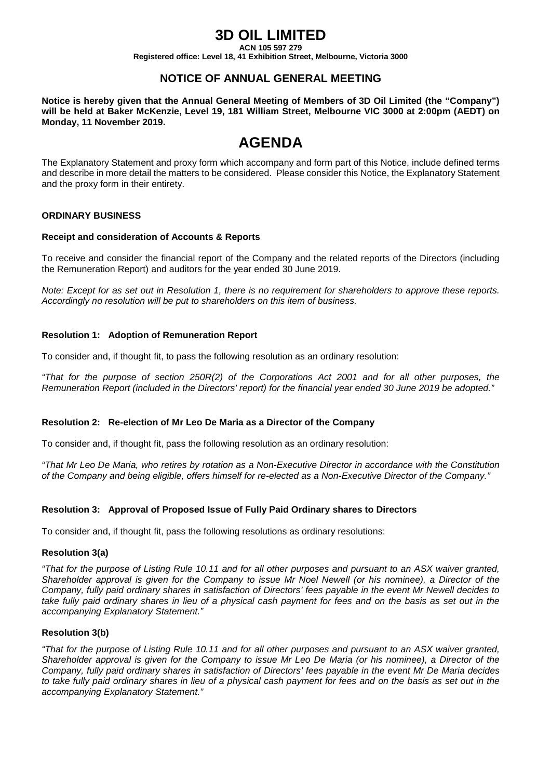### **3D OIL LIMITED**

**ACN 105 597 279**

**Registered office: Level 18, 41 Exhibition Street, Melbourne, Victoria 3000**

#### **NOTICE OF ANNUAL GENERAL MEETING**

**Notice is hereby given that the Annual General Meeting of Members of 3D Oil Limited (the "Company") will be held at Baker McKenzie, Level 19, 181 William Street, Melbourne VIC 3000 at 2:00pm (AEDT) on Monday, 11 November 2019.**

## **AGENDA**

The Explanatory Statement and proxy form which accompany and form part of this Notice, include defined terms and describe in more detail the matters to be considered. Please consider this Notice, the Explanatory Statement and the proxy form in their entirety.

#### **ORDINARY BUSINESS**

#### **Receipt and consideration of Accounts & Reports**

To receive and consider the financial report of the Company and the related reports of the Directors (including the Remuneration Report) and auditors for the year ended 30 June 2019.

*Note: Except for as set out in Resolution 1, there is no requirement for shareholders to approve these reports. Accordingly no resolution will be put to shareholders on this item of business.*

#### **Resolution 1: Adoption of Remuneration Report**

To consider and, if thought fit, to pass the following resolution as an ordinary resolution:

*"That for the purpose of section 250R(2) of the Corporations Act 2001 and for all other purposes, the Remuneration Report (included in the Directors' report) for the financial year ended 30 June 2019 be adopted."*

#### **Resolution 2: Re-election of Mr Leo De Maria as a Director of the Company**

To consider and, if thought fit, pass the following resolution as an ordinary resolution:

*"That Mr Leo De Maria, who retires by rotation as a Non-Executive Director in accordance with the Constitution of the Company and being eligible, offers himself for re-elected as a Non-Executive Director of the Company."*

#### **Resolution 3: Approval of Proposed Issue of Fully Paid Ordinary shares to Directors**

To consider and, if thought fit, pass the following resolutions as ordinary resolutions:

#### **Resolution 3(a)**

*"That for the purpose of Listing Rule 10.11 and for all other purposes and pursuant to an ASX waiver granted, Shareholder approval is given for the Company to issue Mr Noel Newell (or his nominee), a Director of the Company, fully paid ordinary shares in satisfaction of Directors' fees payable in the event Mr Newell decides to*  take fully paid ordinary shares in lieu of a physical cash payment for fees and on the basis as set out in the *accompanying Explanatory Statement."*

#### **Resolution 3(b)**

*"That for the purpose of Listing Rule 10.11 and for all other purposes and pursuant to an ASX waiver granted, Shareholder approval is given for the Company to issue Mr Leo De Maria (or his nominee), a Director of the Company, fully paid ordinary shares in satisfaction of Directors' fees payable in the event Mr De Maria decides*  to take fully paid ordinary shares in lieu of a physical cash payment for fees and on the basis as set out in the *accompanying Explanatory Statement."*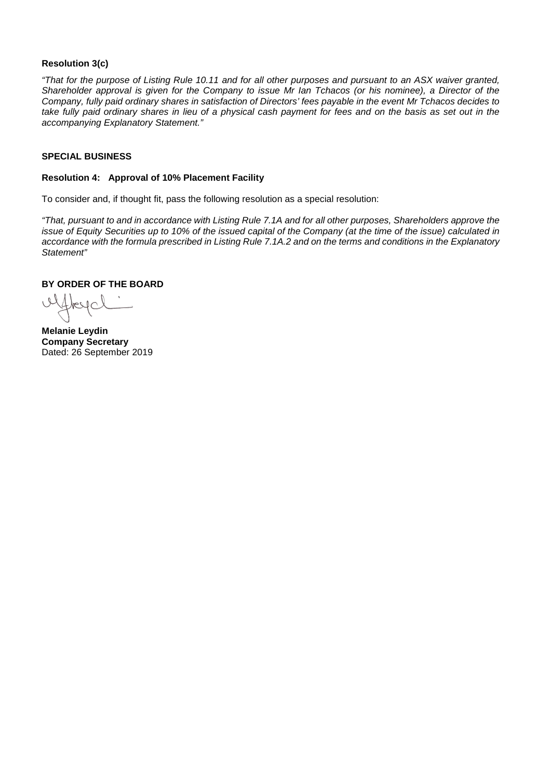#### **Resolution 3(c)**

*"That for the purpose of Listing Rule 10.11 and for all other purposes and pursuant to an ASX waiver granted, Shareholder approval is given for the Company to issue Mr Ian Tchacos (or his nominee), a Director of the Company, fully paid ordinary shares in satisfaction of Directors' fees payable in the event Mr Tchacos decides to*  take fully paid ordinary shares in lieu of a physical cash payment for fees and on the basis as set out in the *accompanying Explanatory Statement."* 

#### **SPECIAL BUSINESS**

#### **Resolution 4: Approval of 10% Placement Facility**

To consider and, if thought fit, pass the following resolution as a special resolution:

*"That, pursuant to and in accordance with Listing Rule 7.1A and for all other purposes, Shareholders approve the issue of Equity Securities up to 10% of the issued capital of the Company (at the time of the issue) calculated in accordance with the formula prescribed in Listing Rule 7.1A.2 and on the terms and conditions in the Explanatory Statement"* 

#### **BY ORDER OF THE BOARD**

uffreyal

**Melanie Leydin Company Secretary** Dated: 26 September 2019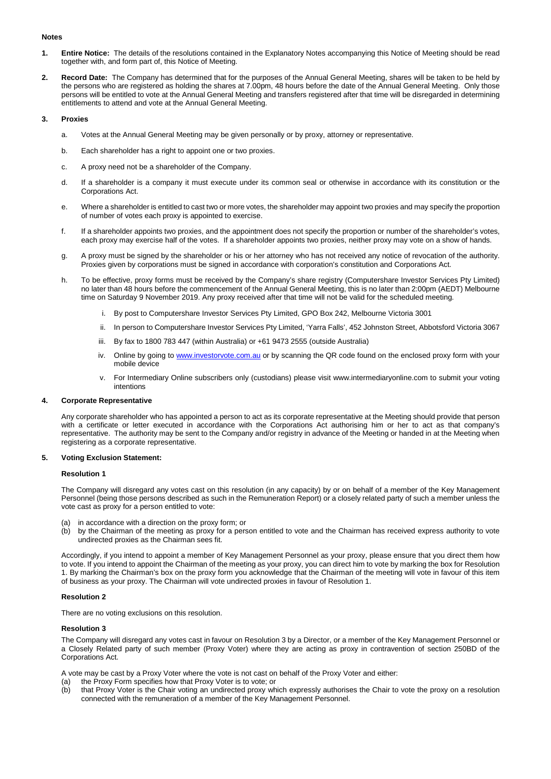#### **Notes**

- **1. Entire Notice:** The details of the resolutions contained in the Explanatory Notes accompanying this Notice of Meeting should be read together with, and form part of, this Notice of Meeting.
- **2. Record Date:** The Company has determined that for the purposes of the Annual General Meeting, shares will be taken to be held by the persons who are registered as holding the shares at 7.00pm, 48 hours before the date of the Annual General Meeting. Only those persons will be entitled to vote at the Annual General Meeting and transfers registered after that time will be disregarded in determining entitlements to attend and vote at the Annual General Meeting.

#### **3. Proxies**

- a. Votes at the Annual General Meeting may be given personally or by proxy, attorney or representative.
- b. Each shareholder has a right to appoint one or two proxies.
- c. A proxy need not be a shareholder of the Company.
- d. If a shareholder is a company it must execute under its common seal or otherwise in accordance with its constitution or the Corporations Act.
- e. Where a shareholder is entitled to cast two or more votes, the shareholder may appoint two proxies and may specify the proportion of number of votes each proxy is appointed to exercise.
- f. If a shareholder appoints two proxies, and the appointment does not specify the proportion or number of the shareholder's votes, each proxy may exercise half of the votes. If a shareholder appoints two proxies, neither proxy may vote on a show of hands.
- g. A proxy must be signed by the shareholder or his or her attorney who has not received any notice of revocation of the authority. Proxies given by corporations must be signed in accordance with corporation's constitution and Corporations Act.
- h. To be effective, proxy forms must be received by the Company's share registry (Computershare Investor Services Pty Limited) no later than 48 hours before the commencement of the Annual General Meeting, this is no later than 2:00pm (AEDT) Melbourne time on Saturday 9 November 2019. Any proxy received after that time will not be valid for the scheduled meeting.
	- i. By post to Computershare Investor Services Pty Limited, GPO Box 242, Melbourne Victoria 3001
	- ii. In person to Computershare Investor Services Pty Limited, 'Yarra Falls', 452 Johnston Street, Abbotsford Victoria 3067
	- iii. By fax to 1800 783 447 (within Australia) or +61 9473 2555 (outside Australia)
	- iv. Online by going t[o www.investorvote.com.au](http://www.investorvote.com.au/) or by scanning the QR code found on the enclosed proxy form with your mobile device
	- v. For Intermediary Online subscribers only (custodians) please visit [www.intermediaryonline.com](http://www.intermediaryonline.com/) to submit your voting intentions

#### **4. Corporate Representative**

Any corporate shareholder who has appointed a person to act as its corporate representative at the Meeting should provide that person with a certificate or letter executed in accordance with the Corporations Act authorising him or her to act as that company's representative. The authority may be sent to the Company and/or registry in advance of the Meeting or handed in at the Meeting when registering as a corporate representative.

#### **5. Voting Exclusion Statement:**

#### **Resolution 1**

The Company will disregard any votes cast on this resolution (in any capacity) by or on behalf of a member of the Key Management Personnel (being those persons described as such in the Remuneration Report) or a closely related party of such a member unless the vote cast as proxy for a person entitled to vote:

- (a) in accordance with a direction on the proxy form; or
- (b) by the Chairman of the meeting as proxy for a person entitled to vote and the Chairman has received express authority to vote undirected proxies as the Chairman sees fit.

Accordingly, if you intend to appoint a member of Key Management Personnel as your proxy, please ensure that you direct them how to vote. If you intend to appoint the Chairman of the meeting as your proxy, you can direct him to vote by marking the box for Resolution 1. By marking the Chairman's box on the proxy form you acknowledge that the Chairman of the meeting will vote in favour of this item of business as your proxy. The Chairman will vote undirected proxies in favour of Resolution 1.

#### **Resolution 2**

There are no voting exclusions on this resolution.

#### **Resolution 3**

The Company will disregard any votes cast in favour on Resolution 3 by a Director, or a member of the Key Management Personnel or a Closely Related party of such member (Proxy Voter) where they are acting as proxy in contravention of section 250BD of the Corporations Act.

A vote may be cast by a Proxy Voter where the vote is not cast on behalf of the Proxy Voter and either:

- (a) the Proxy Form specifies how that Proxy Voter is to vote; or
- (b) that Proxy Voter is the Chair voting an undirected proxy which expressly authorises the Chair to vote the proxy on a resolution connected with the remuneration of a member of the Key Management Personnel.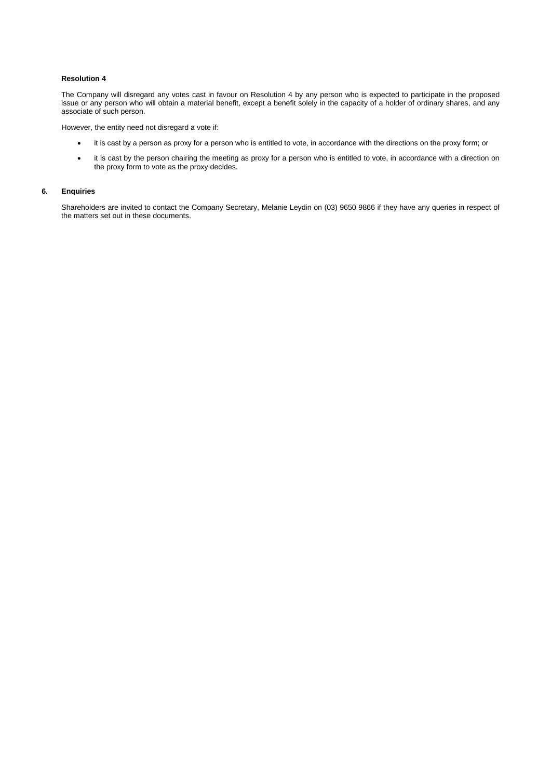#### **Resolution 4**

The Company will disregard any votes cast in favour on Resolution 4 by any person who is expected to participate in the proposed issue or any person who will obtain a material benefit, except a benefit solely in the capacity of a holder of ordinary shares, and any associate of such person.

However, the entity need not disregard a vote if:

- it is cast by a person as proxy for a person who is entitled to vote, in accordance with the directions on the proxy form; or
- it is cast by the person chairing the meeting as proxy for a person who is entitled to vote, in accordance with a direction on the proxy form to vote as the proxy decides.

#### **6. Enquiries**

Shareholders are invited to contact the Company Secretary, Melanie Leydin on (03) 9650 9866 if they have any queries in respect of the matters set out in these documents.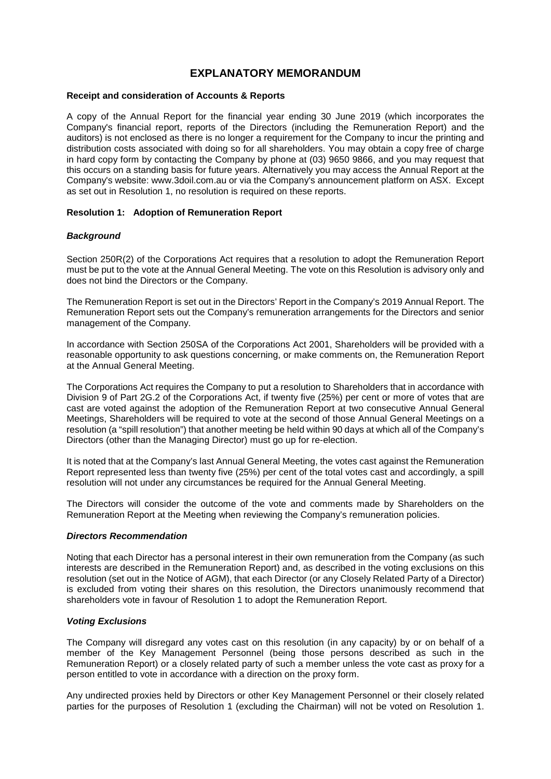#### **EXPLANATORY MEMORANDUM**

#### **Receipt and consideration of Accounts & Reports**

A copy of the Annual Report for the financial year ending 30 June 2019 (which incorporates the Company's financial report, reports of the Directors (including the Remuneration Report) and the auditors) is not enclosed as there is no longer a requirement for the Company to incur the printing and distribution costs associated with doing so for all shareholders. You may obtain a copy free of charge in hard copy form by contacting the Company by phone at (03) 9650 9866, and you may request that this occurs on a standing basis for future years. Alternatively you may access the Annual Report at the Company's website: www.3doil.com.au or via the Company's announcement platform on ASX. Except as set out in Resolution 1, no resolution is required on these reports.

#### **Resolution 1: Adoption of Remuneration Report**

#### *Background*

Section 250R(2) of the Corporations Act requires that a resolution to adopt the Remuneration Report must be put to the vote at the Annual General Meeting. The vote on this Resolution is advisory only and does not bind the Directors or the Company.

The Remuneration Report is set out in the Directors' Report in the Company's 2019 Annual Report. The Remuneration Report sets out the Company's remuneration arrangements for the Directors and senior management of the Company.

In accordance with Section 250SA of the Corporations Act 2001, Shareholders will be provided with a reasonable opportunity to ask questions concerning, or make comments on, the Remuneration Report at the Annual General Meeting.

The Corporations Act requires the Company to put a resolution to Shareholders that in accordance with Division 9 of Part 2G.2 of the Corporations Act, if twenty five (25%) per cent or more of votes that are cast are voted against the adoption of the Remuneration Report at two consecutive Annual General Meetings, Shareholders will be required to vote at the second of those Annual General Meetings on a resolution (a "spill resolution") that another meeting be held within 90 days at which all of the Company's Directors (other than the Managing Director) must go up for re-election.

It is noted that at the Company's last Annual General Meeting, the votes cast against the Remuneration Report represented less than twenty five (25%) per cent of the total votes cast and accordingly, a spill resolution will not under any circumstances be required for the Annual General Meeting.

The Directors will consider the outcome of the vote and comments made by Shareholders on the Remuneration Report at the Meeting when reviewing the Company's remuneration policies.

#### *Directors Recommendation*

Noting that each Director has a personal interest in their own remuneration from the Company (as such interests are described in the Remuneration Report) and, as described in the voting exclusions on this resolution (set out in the Notice of AGM), that each Director (or any Closely Related Party of a Director) is excluded from voting their shares on this resolution, the Directors unanimously recommend that shareholders vote in favour of Resolution 1 to adopt the Remuneration Report.

#### *Voting Exclusions*

The Company will disregard any votes cast on this resolution (in any capacity) by or on behalf of a member of the Key Management Personnel (being those persons described as such in the Remuneration Report) or a closely related party of such a member unless the vote cast as proxy for a person entitled to vote in accordance with a direction on the proxy form.

Any undirected proxies held by Directors or other Key Management Personnel or their closely related parties for the purposes of Resolution 1 (excluding the Chairman) will not be voted on Resolution 1.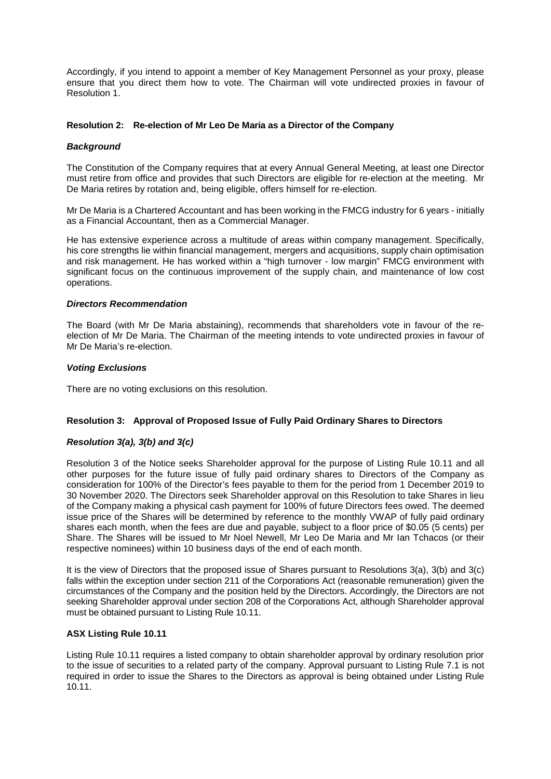Accordingly, if you intend to appoint a member of Key Management Personnel as your proxy, please ensure that you direct them how to vote. The Chairman will vote undirected proxies in favour of Resolution 1.

#### **Resolution 2: Re-election of Mr Leo De Maria as a Director of the Company**

#### *Background*

The Constitution of the Company requires that at every Annual General Meeting, at least one Director must retire from office and provides that such Directors are eligible for re-election at the meeting. Mr De Maria retires by rotation and, being eligible, offers himself for re-election.

Mr De Maria is a Chartered Accountant and has been working in the FMCG industry for 6 years - initially as a Financial Accountant, then as a Commercial Manager.

He has extensive experience across a multitude of areas within company management. Specifically, his core strengths lie within financial management, mergers and acquisitions, supply chain optimisation and risk management. He has worked within a "high turnover - low margin" FMCG environment with significant focus on the continuous improvement of the supply chain, and maintenance of low cost operations.

#### *Directors Recommendation*

The Board (with Mr De Maria abstaining), recommends that shareholders vote in favour of the reelection of Mr De Maria. The Chairman of the meeting intends to vote undirected proxies in favour of Mr De Maria's re-election.

#### *Voting Exclusions*

There are no voting exclusions on this resolution.

#### **Resolution 3: Approval of Proposed Issue of Fully Paid Ordinary Shares to Directors**

#### *Resolution 3(a), 3(b) and 3(c)*

Resolution 3 of the Notice seeks Shareholder approval for the purpose of Listing Rule 10.11 and all other purposes for the future issue of fully paid ordinary shares to Directors of the Company as consideration for 100% of the Director's fees payable to them for the period from 1 December 2019 to 30 November 2020. The Directors seek Shareholder approval on this Resolution to take Shares in lieu of the Company making a physical cash payment for 100% of future Directors fees owed. The deemed issue price of the Shares will be determined by reference to the monthly VWAP of fully paid ordinary shares each month, when the fees are due and payable, subject to a floor price of \$0.05 (5 cents) per Share. The Shares will be issued to Mr Noel Newell, Mr Leo De Maria and Mr Ian Tchacos (or their respective nominees) within 10 business days of the end of each month.

It is the view of Directors that the proposed issue of Shares pursuant to Resolutions 3(a), 3(b) and 3(c) falls within the exception under section 211 of the Corporations Act (reasonable remuneration) given the circumstances of the Company and the position held by the Directors. Accordingly, the Directors are not seeking Shareholder approval under section 208 of the Corporations Act, although Shareholder approval must be obtained pursuant to Listing Rule 10.11.

#### **ASX Listing Rule 10.11**

Listing Rule 10.11 requires a listed company to obtain shareholder approval by ordinary resolution prior to the issue of securities to a related party of the company. Approval pursuant to Listing Rule 7.1 is not required in order to issue the Shares to the Directors as approval is being obtained under Listing Rule 10.11.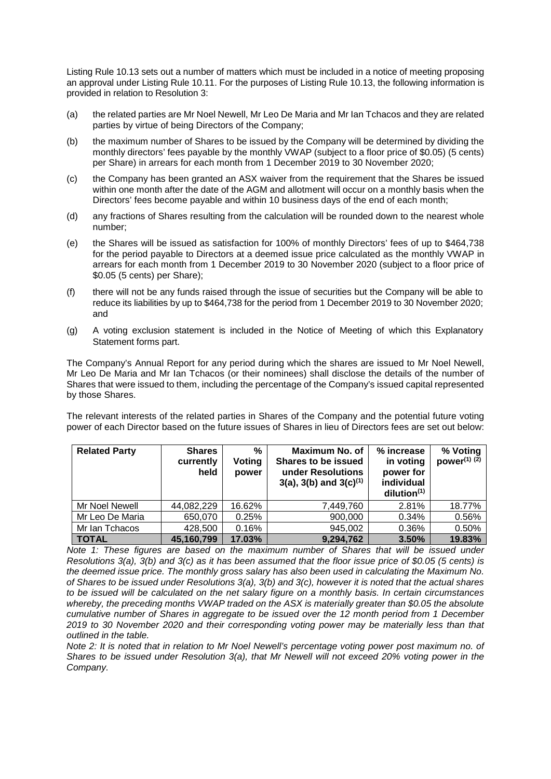Listing Rule 10.13 sets out a number of matters which must be included in a notice of meeting proposing an approval under Listing Rule 10.11. For the purposes of Listing Rule 10.13, the following information is provided in relation to Resolution 3:

- (a) the related parties are Mr Noel Newell, Mr Leo De Maria and Mr Ian Tchacos and they are related parties by virtue of being Directors of the Company;
- (b) the maximum number of Shares to be issued by the Company will be determined by dividing the monthly directors' fees payable by the monthly VWAP (subject to a floor price of \$0.05) (5 cents) per Share) in arrears for each month from 1 December 2019 to 30 November 2020;
- (c) the Company has been granted an ASX waiver from the requirement that the Shares be issued within one month after the date of the AGM and allotment will occur on a monthly basis when the Directors' fees become payable and within 10 business days of the end of each month;
- (d) any fractions of Shares resulting from the calculation will be rounded down to the nearest whole number;
- (e) the Shares will be issued as satisfaction for 100% of monthly Directors' fees of up to \$464,738 for the period payable to Directors at a deemed issue price calculated as the monthly VWAP in arrears for each month from 1 December 2019 to 30 November 2020 (subject to a floor price of \$0.05 (5 cents) per Share);
- (f) there will not be any funds raised through the issue of securities but the Company will be able to reduce its liabilities by up to \$464,738 for the period from 1 December 2019 to 30 November 2020; and
- (g) A voting exclusion statement is included in the Notice of Meeting of which this Explanatory Statement forms part.

The Company's Annual Report for any period during which the shares are issued to Mr Noel Newell, Mr Leo De Maria and Mr Ian Tchacos (or their nominees) shall disclose the details of the number of Shares that were issued to them, including the percentage of the Company's issued capital represented by those Shares.

The relevant interests of the related parties in Shares of the Company and the potential future voting power of each Director based on the future issues of Shares in lieu of Directors fees are set out below:

| <b>Related Party</b> | <b>Shares</b><br>currently<br>held | %<br>Voting<br>power | Maximum No. of<br><b>Shares to be issued</b><br>under Resolutions<br>$3(a)$ , $3(b)$ and $3(c)^{(1)}$ | % increase<br>in voting<br>power for<br>individual<br>dilution <sup>(1)</sup> | % Voting<br>power $(1)$ $(2)$ |
|----------------------|------------------------------------|----------------------|-------------------------------------------------------------------------------------------------------|-------------------------------------------------------------------------------|-------------------------------|
| Mr Noel Newell       | 44,082,229                         | 16.62%               | 7,449,760                                                                                             | 2.81%                                                                         | 18.77%                        |
| Mr Leo De Maria      | 650,070                            | 0.25%                | 900,000                                                                                               | 0.34%                                                                         | 0.56%                         |
| Mr Ian Tchacos       | 428,500                            | 0.16%                | 945,002                                                                                               | 0.36%                                                                         | 0.50%                         |
| <b>TOTAL</b>         | 45,160,799                         | 17.03%               | 9,294,762                                                                                             | 3.50%                                                                         | 19.83%                        |

*Note 1: These figures are based on the maximum number of Shares that will be issued under Resolutions 3(a), 3(b) and 3(c) as it has been assumed that the floor issue price of \$0.05 (5 cents) is the deemed issue price. The monthly gross salary has also been used in calculating the Maximum No. of Shares to be issued under Resolutions 3(a), 3(b) and 3(c), however it is noted that the actual shares to be issued will be calculated on the net salary figure on a monthly basis. In certain circumstances whereby, the preceding months VWAP traded on the ASX is materially greater than \$0.05 the absolute cumulative number of Shares in aggregate to be issued over the 12 month period from 1 December 2019 to 30 November 2020 and their corresponding voting power may be materially less than that outlined in the table.*

*Note 2: It is noted that in relation to Mr Noel Newell's percentage voting power post maximum no. of Shares to be issued under Resolution 3(a), that Mr Newell will not exceed 20% voting power in the Company.*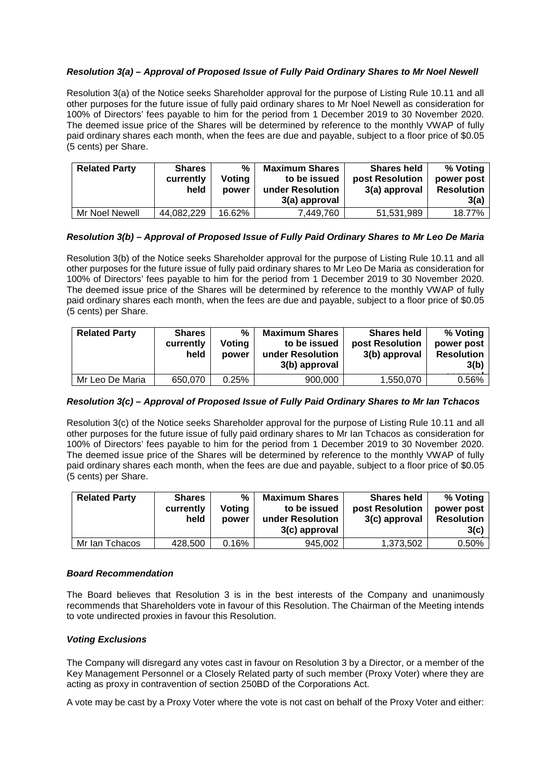#### *Resolution 3(a) – Approval of Proposed Issue of Fully Paid Ordinary Shares to Mr Noel Newell*

Resolution 3(a) of the Notice seeks Shareholder approval for the purpose of Listing Rule 10.11 and all other purposes for the future issue of fully paid ordinary shares to Mr Noel Newell as consideration for 100% of Directors' fees payable to him for the period from 1 December 2019 to 30 November 2020. The deemed issue price of the Shares will be determined by reference to the monthly VWAP of fully paid ordinary shares each month, when the fees are due and payable, subject to a floor price of \$0.05 (5 cents) per Share.

| <b>Related Party</b> | <b>Shares</b><br>currently<br>held | ℅<br>Votina<br>power | <b>Maximum Shares</b><br>to be issued<br>under Resolution<br>3(a) approval | <b>Shares held</b><br>post Resolution<br>3(a) approval | % Voting<br>power post<br><b>Resolution</b><br>3(a) |
|----------------------|------------------------------------|----------------------|----------------------------------------------------------------------------|--------------------------------------------------------|-----------------------------------------------------|
| Mr Noel Newell       | 44,082,229                         | 16.62%               | 7,449,760                                                                  | 51,531,989                                             | 18.77%                                              |

#### *Resolution 3(b) – Approval of Proposed Issue of Fully Paid Ordinary Shares to Mr Leo De Maria*

Resolution 3(b) of the Notice seeks Shareholder approval for the purpose of Listing Rule 10.11 and all other purposes for the future issue of fully paid ordinary shares to Mr Leo De Maria as consideration for 100% of Directors' fees payable to him for the period from 1 December 2019 to 30 November 2020. The deemed issue price of the Shares will be determined by reference to the monthly VWAP of fully paid ordinary shares each month, when the fees are due and payable, subject to a floor price of \$0.05 (5 cents) per Share.

| <b>Related Party</b> | <b>Shares</b><br>currently<br>held | %<br>Voting<br>power | <b>Maximum Shares</b><br>to be issued<br>under Resolution<br>3(b) approval | <b>Shares held</b><br>post Resolution<br>3(b) approval | % Voting<br>power post<br><b>Resolution</b><br>3(b) |
|----------------------|------------------------------------|----------------------|----------------------------------------------------------------------------|--------------------------------------------------------|-----------------------------------------------------|
| Mr Leo De Maria      | 650,070                            | 0.25%                | 900,000                                                                    | 1,550,070                                              | 0.56%                                               |

#### *Resolution 3(c) – Approval of Proposed Issue of Fully Paid Ordinary Shares to Mr Ian Tchacos*

Resolution 3(c) of the Notice seeks Shareholder approval for the purpose of Listing Rule 10.11 and all other purposes for the future issue of fully paid ordinary shares to Mr Ian Tchacos as consideration for 100% of Directors' fees payable to him for the period from 1 December 2019 to 30 November 2020. The deemed issue price of the Shares will be determined by reference to the monthly VWAP of fully paid ordinary shares each month, when the fees are due and payable, subject to a floor price of \$0.05 (5 cents) per Share.

| <b>Related Party</b> | <b>Shares</b><br>currently<br>held | %<br>Votina<br>power | <b>Maximum Shares</b><br>to be issued<br>under Resolution<br>3(c) approval | <b>Shares held</b><br>post Resolution<br>3(c) approval | % Voting<br>power post<br><b>Resolution</b><br>3(c) |
|----------------------|------------------------------------|----------------------|----------------------------------------------------------------------------|--------------------------------------------------------|-----------------------------------------------------|
| Mr Ian Tchacos       | 428,500                            | 0.16%                | 945.002                                                                    | 1.373.502                                              | 0.50%                                               |

#### *Board Recommendation*

The Board believes that Resolution 3 is in the best interests of the Company and unanimously recommends that Shareholders vote in favour of this Resolution. The Chairman of the Meeting intends to vote undirected proxies in favour this Resolution.

#### *Voting Exclusions*

The Company will disregard any votes cast in favour on Resolution 3 by a Director, or a member of the Key Management Personnel or a Closely Related party of such member (Proxy Voter) where they are acting as proxy in contravention of section 250BD of the Corporations Act.

A vote may be cast by a Proxy Voter where the vote is not cast on behalf of the Proxy Voter and either: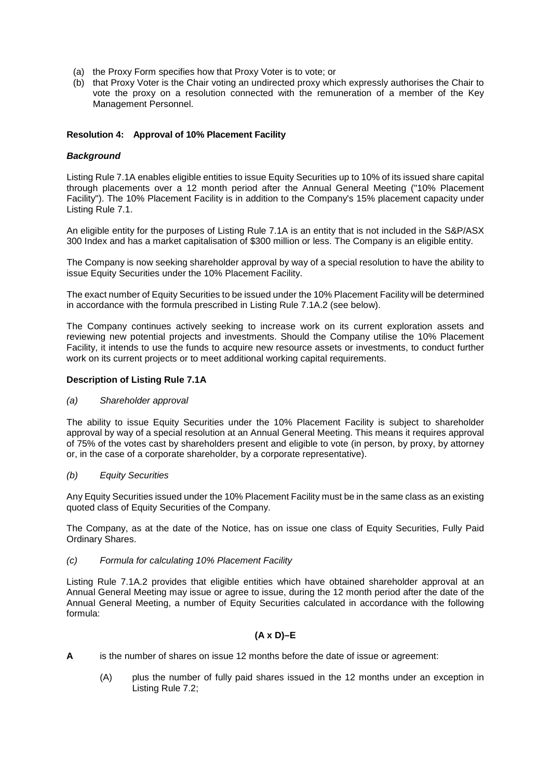- (a) the Proxy Form specifies how that Proxy Voter is to vote; or
- (b) that Proxy Voter is the Chair voting an undirected proxy which expressly authorises the Chair to vote the proxy on a resolution connected with the remuneration of a member of the Key Management Personnel.

#### **Resolution 4: Approval of 10% Placement Facility**

#### *Background*

Listing Rule 7.1A enables eligible entities to issue Equity Securities up to 10% of its issued share capital through placements over a 12 month period after the Annual General Meeting ("10% Placement Facility"). The 10% Placement Facility is in addition to the Company's 15% placement capacity under Listing Rule 7.1.

An eligible entity for the purposes of Listing Rule 7.1A is an entity that is not included in the S&P/ASX 300 Index and has a market capitalisation of \$300 million or less. The Company is an eligible entity.

The Company is now seeking shareholder approval by way of a special resolution to have the ability to issue Equity Securities under the 10% Placement Facility.

The exact number of Equity Securities to be issued under the 10% Placement Facility will be determined in accordance with the formula prescribed in Listing Rule 7.1A.2 (see below).

The Company continues actively seeking to increase work on its current exploration assets and reviewing new potential projects and investments. Should the Company utilise the 10% Placement Facility, it intends to use the funds to acquire new resource assets or investments, to conduct further work on its current projects or to meet additional working capital requirements.

#### **Description of Listing Rule 7.1A**

#### *(a) Shareholder approval*

The ability to issue Equity Securities under the 10% Placement Facility is subject to shareholder approval by way of a special resolution at an Annual General Meeting. This means it requires approval of 75% of the votes cast by shareholders present and eligible to vote (in person, by proxy, by attorney or, in the case of a corporate shareholder, by a corporate representative).

#### *(b) Equity Securities*

Any Equity Securities issued under the 10% Placement Facility must be in the same class as an existing quoted class of Equity Securities of the Company.

The Company, as at the date of the Notice, has on issue one class of Equity Securities, Fully Paid Ordinary Shares.

#### *(c) Formula for calculating 10% Placement Facility*

Listing Rule 7.1A.2 provides that eligible entities which have obtained shareholder approval at an Annual General Meeting may issue or agree to issue, during the 12 month period after the date of the Annual General Meeting, a number of Equity Securities calculated in accordance with the following formula:

#### **(A x D)–E**

- **A** is the number of shares on issue 12 months before the date of issue or agreement:
	- (A) plus the number of fully paid shares issued in the 12 months under an exception in Listing Rule 7.2;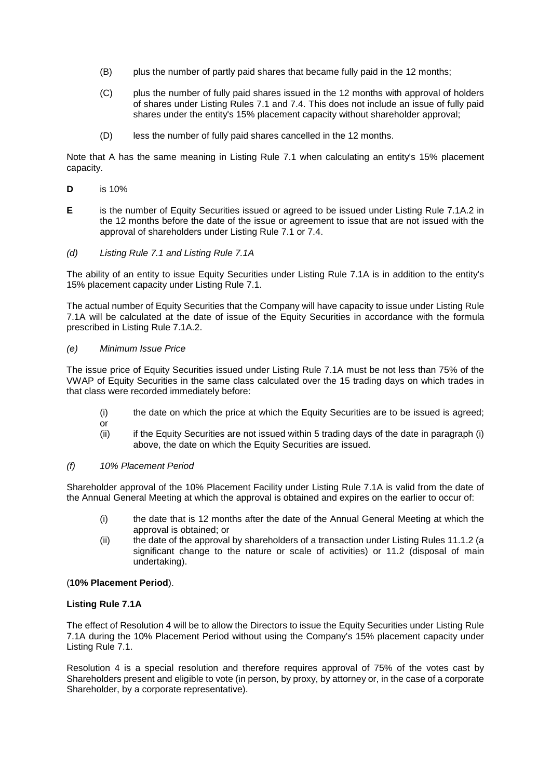- (B) plus the number of partly paid shares that became fully paid in the 12 months;
- (C) plus the number of fully paid shares issued in the 12 months with approval of holders of shares under Listing Rules 7.1 and 7.4. This does not include an issue of fully paid shares under the entity's 15% placement capacity without shareholder approval;
- (D) less the number of fully paid shares cancelled in the 12 months.

Note that A has the same meaning in Listing Rule 7.1 when calculating an entity's 15% placement capacity.

- **D** is 10%
- **E** is the number of Equity Securities issued or agreed to be issued under Listing Rule 7.1A.2 in the 12 months before the date of the issue or agreement to issue that are not issued with the approval of shareholders under Listing Rule 7.1 or 7.4.
- *(d) Listing Rule 7.1 and Listing Rule 7.1A*

The ability of an entity to issue Equity Securities under Listing Rule 7.1A is in addition to the entity's 15% placement capacity under Listing Rule 7.1.

The actual number of Equity Securities that the Company will have capacity to issue under Listing Rule 7.1A will be calculated at the date of issue of the Equity Securities in accordance with the formula prescribed in Listing Rule 7.1A.2.

#### *(e) Minimum Issue Price*

The issue price of Equity Securities issued under Listing Rule 7.1A must be not less than 75% of the VWAP of Equity Securities in the same class calculated over the 15 trading days on which trades in that class were recorded immediately before:

- (i) the date on which the price at which the Equity Securities are to be issued is agreed;
- or
- (ii) if the Equity Securities are not issued within 5 trading days of the date in paragraph (i) above, the date on which the Equity Securities are issued.

#### *(f) 10% Placement Period*

Shareholder approval of the 10% Placement Facility under Listing Rule 7.1A is valid from the date of the Annual General Meeting at which the approval is obtained and expires on the earlier to occur of:

- (i) the date that is 12 months after the date of the Annual General Meeting at which the approval is obtained; or
- (ii) the date of the approval by shareholders of a transaction under Listing Rules 11.1.2 (a significant change to the nature or scale of activities) or 11.2 (disposal of main undertaking).

#### (**10% Placement Period**).

#### **Listing Rule 7.1A**

The effect of Resolution 4 will be to allow the Directors to issue the Equity Securities under Listing Rule 7.1A during the 10% Placement Period without using the Company's 15% placement capacity under Listing Rule 7.1.

Resolution 4 is a special resolution and therefore requires approval of 75% of the votes cast by Shareholders present and eligible to vote (in person, by proxy, by attorney or, in the case of a corporate Shareholder, by a corporate representative).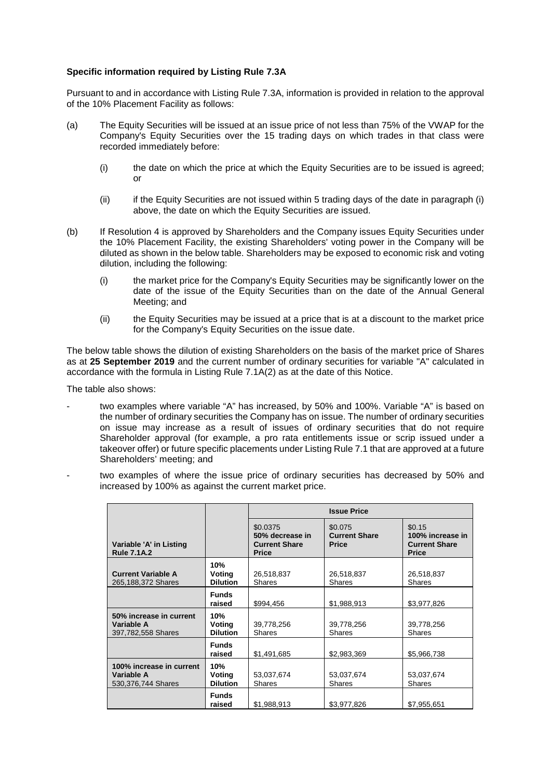#### **Specific information required by Listing Rule 7.3A**

Pursuant to and in accordance with Listing Rule 7.3A, information is provided in relation to the approval of the 10% Placement Facility as follows:

- (a) The Equity Securities will be issued at an issue price of not less than 75% of the VWAP for the Company's Equity Securities over the 15 trading days on which trades in that class were recorded immediately before:
	- (i) the date on which the price at which the Equity Securities are to be issued is agreed; or
	- $(iii)$  if the Equity Securities are not issued within 5 trading days of the date in paragraph (i) above, the date on which the Equity Securities are issued.
- (b) If Resolution 4 is approved by Shareholders and the Company issues Equity Securities under the 10% Placement Facility, the existing Shareholders' voting power in the Company will be diluted as shown in the below table. Shareholders may be exposed to economic risk and voting dilution, including the following:
	- (i) the market price for the Company's Equity Securities may be significantly lower on the date of the issue of the Equity Securities than on the date of the Annual General Meeting; and
	- (ii) the Equity Securities may be issued at a price that is at a discount to the market price for the Company's Equity Securities on the issue date.

The below table shows the dilution of existing Shareholders on the basis of the market price of Shares as at **25 September 2019** and the current number of ordinary securities for variable "A" calculated in accordance with the formula in Listing Rule 7.1A(2) as at the date of this Notice.

The table also shows:

- two examples where variable "A" has increased, by 50% and 100%. Variable "A" is based on the number of ordinary securities the Company has on issue. The number of ordinary securities on issue may increase as a result of issues of ordinary securities that do not require Shareholder approval (for example, a pro rata entitlements issue or scrip issued under a takeover offer) or future specific placements under Listing Rule 7.1 that are approved at a future Shareholders' meeting; and
- two examples of where the issue price of ordinary securities has decreased by 50% and increased by 100% as against the current market price.

|                                                                |                                  |                                                                     | <b>Issue Price</b>                              |                                                                    |
|----------------------------------------------------------------|----------------------------------|---------------------------------------------------------------------|-------------------------------------------------|--------------------------------------------------------------------|
| Variable 'A' in Listing<br><b>Rule 7.1A.2</b>                  |                                  | \$0.0375<br>50% decrease in<br><b>Current Share</b><br><b>Price</b> | \$0.075<br><b>Current Share</b><br><b>Price</b> | \$0.15<br>100% increase in<br><b>Current Share</b><br><b>Price</b> |
| <b>Current Variable A</b><br>265,188,372 Shares                | 10%<br>Voting<br><b>Dilution</b> | 26,518,837<br>Shares                                                | 26,518,837<br><b>Shares</b>                     | 26,518,837<br><b>Shares</b>                                        |
|                                                                | <b>Funds</b><br>raised           | \$994,456                                                           | \$1,988,913                                     | \$3,977,826                                                        |
| 50% increase in current<br>Variable A<br>397,782,558 Shares    | 10%<br>Voting<br><b>Dilution</b> | 39,778,256<br><b>Shares</b>                                         | 39,778,256<br><b>Shares</b>                     | 39,778,256<br><b>Shares</b>                                        |
|                                                                | <b>Funds</b><br>raised           | \$1,491,685                                                         | \$2,983,369                                     | \$5,966,738                                                        |
| 100% increase in current<br>Variable A<br>530, 376, 744 Shares | 10%<br>Voting<br><b>Dilution</b> | 53,037,674<br><b>Shares</b>                                         | 53,037,674<br><b>Shares</b>                     | 53,037,674<br><b>Shares</b>                                        |
|                                                                | <b>Funds</b><br>raised           | \$1,988,913                                                         | \$3,977,826                                     | \$7,955,651                                                        |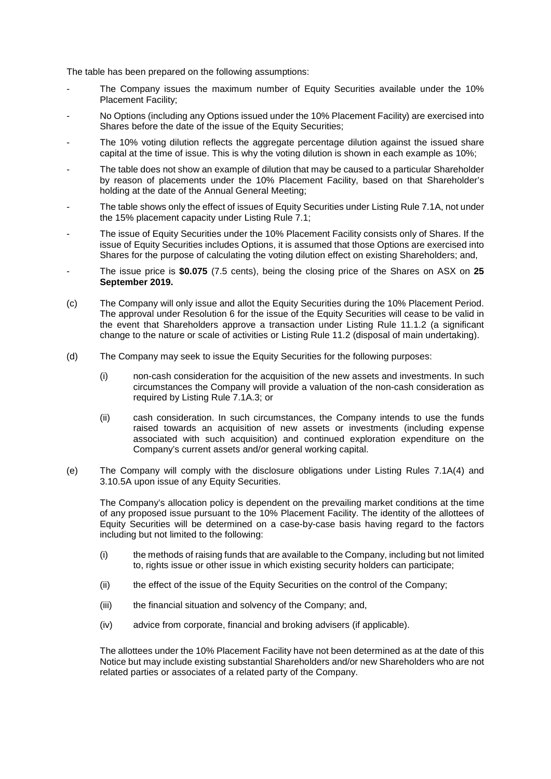The table has been prepared on the following assumptions:

- The Company issues the maximum number of Equity Securities available under the 10% Placement Facility;
- No Options (including any Options issued under the 10% Placement Facility) are exercised into Shares before the date of the issue of the Equity Securities;
- The 10% voting dilution reflects the aggregate percentage dilution against the issued share capital at the time of issue. This is why the voting dilution is shown in each example as 10%;
- The table does not show an example of dilution that may be caused to a particular Shareholder by reason of placements under the 10% Placement Facility, based on that Shareholder's holding at the date of the Annual General Meeting;
- The table shows only the effect of issues of Equity Securities under Listing Rule 7.1A, not under the 15% placement capacity under Listing Rule 7.1;
- The issue of Equity Securities under the 10% Placement Facility consists only of Shares. If the issue of Equity Securities includes Options, it is assumed that those Options are exercised into Shares for the purpose of calculating the voting dilution effect on existing Shareholders; and,
- The issue price is **\$0.075** (7.5 cents), being the closing price of the Shares on ASX on **25 September 2019.**
- (c) The Company will only issue and allot the Equity Securities during the 10% Placement Period. The approval under Resolution 6 for the issue of the Equity Securities will cease to be valid in the event that Shareholders approve a transaction under Listing Rule 11.1.2 (a significant change to the nature or scale of activities or Listing Rule 11.2 (disposal of main undertaking).
- (d) The Company may seek to issue the Equity Securities for the following purposes:
	- (i) non-cash consideration for the acquisition of the new assets and investments. In such circumstances the Company will provide a valuation of the non-cash consideration as required by Listing Rule 7.1A.3; or
	- (ii) cash consideration. In such circumstances, the Company intends to use the funds raised towards an acquisition of new assets or investments (including expense associated with such acquisition) and continued exploration expenditure on the Company's current assets and/or general working capital.
- (e) The Company will comply with the disclosure obligations under Listing Rules 7.1A(4) and 3.10.5A upon issue of any Equity Securities.

The Company's allocation policy is dependent on the prevailing market conditions at the time of any proposed issue pursuant to the 10% Placement Facility. The identity of the allottees of Equity Securities will be determined on a case-by-case basis having regard to the factors including but not limited to the following:

- (i) the methods of raising funds that are available to the Company, including but not limited to, rights issue or other issue in which existing security holders can participate;
- (ii) the effect of the issue of the Equity Securities on the control of the Company;
- (iii) the financial situation and solvency of the Company; and,
- (iv) advice from corporate, financial and broking advisers (if applicable).

The allottees under the 10% Placement Facility have not been determined as at the date of this Notice but may include existing substantial Shareholders and/or new Shareholders who are not related parties or associates of a related party of the Company.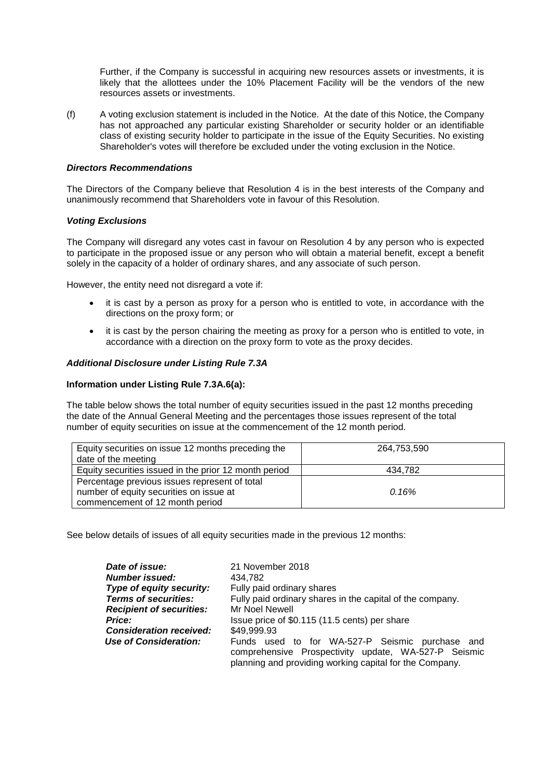Further, if the Company is successful in acquiring new resources assets or investments, it is likely that the allottees under the 10% Placement Facility will be the vendors of the new resources assets or investments.

(f) A voting exclusion statement is included in the Notice. At the date of this Notice, the Company has not approached any particular existing Shareholder or security holder or an identifiable class of existing security holder to participate in the issue of the Equity Securities. No existing Shareholder's votes will therefore be excluded under the voting exclusion in the Notice.

#### *Directors Recommendations*

The Directors of the Company believe that Resolution 4 is in the best interests of the Company and unanimously recommend that Shareholders vote in favour of this Resolution.

#### *Voting Exclusions*

The Company will disregard any votes cast in favour on Resolution 4 by any person who is expected to participate in the proposed issue or any person who will obtain a material benefit, except a benefit solely in the capacity of a holder of ordinary shares, and any associate of such person.

However, the entity need not disregard a vote if:

- it is cast by a person as proxy for a person who is entitled to vote, in accordance with the directions on the proxy form; or
- it is cast by the person chairing the meeting as proxy for a person who is entitled to vote, in accordance with a direction on the proxy form to vote as the proxy decides.

#### *Additional Disclosure under Listing Rule 7.3A*

#### **Information under Listing Rule 7.3A.6(a):**

The table below shows the total number of equity securities issued in the past 12 months preceding the date of the Annual General Meeting and the percentages those issues represent of the total number of equity securities on issue at the commencement of the 12 month period.

| Equity securities on issue 12 months preceding the    | 264,753,590 |
|-------------------------------------------------------|-------------|
| date of the meeting                                   |             |
| Equity securities issued in the prior 12 month period | 434.782     |
| Percentage previous issues represent of total         |             |
| number of equity securities on issue at               | 0.16%       |
| commencement of 12 month period                       |             |

See below details of issues of all equity securities made in the previous 12 months:

| Date of issue:                  | 21 November 2018                                                                                                                                                   |
|---------------------------------|--------------------------------------------------------------------------------------------------------------------------------------------------------------------|
| <b>Number issued:</b>           | 434.782                                                                                                                                                            |
| Type of equity security:        | Fully paid ordinary shares                                                                                                                                         |
| <b>Terms of securities:</b>     | Fully paid ordinary shares in the capital of the company.                                                                                                          |
| <b>Recipient of securities:</b> | Mr Noel Newell                                                                                                                                                     |
| <b>Price:</b>                   | Issue price of \$0.115 (11.5 cents) per share                                                                                                                      |
| <b>Consideration received:</b>  | \$49,999.93                                                                                                                                                        |
| <b>Use of Consideration:</b>    | Funds used to for WA-527-P Seismic purchase and<br>comprehensive Prospectivity update, WA-527-P Seismic<br>planning and providing working capital for the Company. |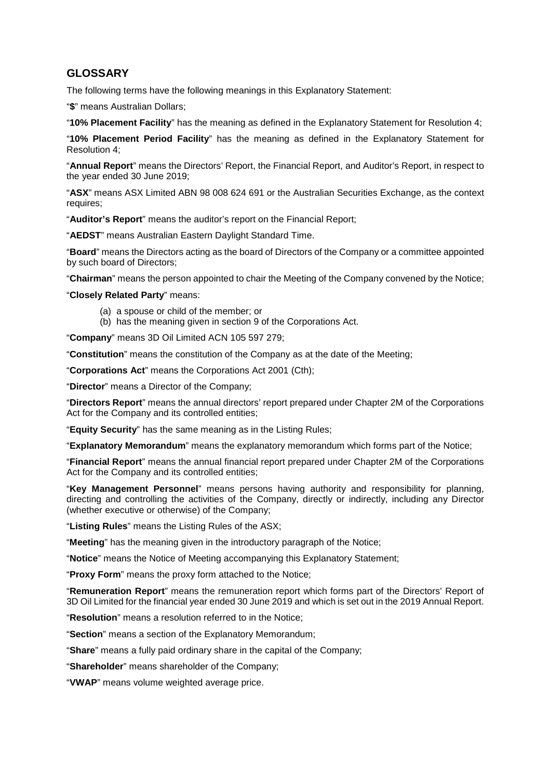#### **GLOSSARY**

The following terms have the following meanings in this Explanatory Statement:

"**\$**" means Australian Dollars;

"**10% Placement Facility**" has the meaning as defined in the Explanatory Statement for Resolution 4;

"**10% Placement Period Facility**" has the meaning as defined in the Explanatory Statement for Resolution 4;

"**Annual Report**" means the Directors' Report, the Financial Report, and Auditor's Report, in respect to the year ended 30 June 2019;

"**ASX**" means ASX Limited ABN 98 008 624 691 or the Australian Securities Exchange, as the context requires;

"**Auditor's Report**" means the auditor's report on the Financial Report;

"**AEDST**" means Australian Eastern Daylight Standard Time.

"**Board**" means the Directors acting as the board of Directors of the Company or a committee appointed by such board of Directors;

"**Chairman**" means the person appointed to chair the Meeting of the Company convened by the Notice;

"**Closely Related Party**" means:

- (a) a spouse or child of the member; or
- (b) has the meaning given in section 9 of the Corporations Act.

"**Company**" means 3D Oil Limited ACN 105 597 279;

"**Constitution**" means the constitution of the Company as at the date of the Meeting;

"**Corporations Act**" means the Corporations Act 2001 (Cth);

"**Director**" means a Director of the Company;

"**Directors Report**" means the annual directors' report prepared under Chapter 2M of the Corporations Act for the Company and its controlled entities;

"**Equity Security**" has the same meaning as in the Listing Rules;

"**Explanatory Memorandum**" means the explanatory memorandum which forms part of the Notice;

"**Financial Report**" means the annual financial report prepared under Chapter 2M of the Corporations Act for the Company and its controlled entities;

"**Key Management Personnel**" means persons having authority and responsibility for planning, directing and controlling the activities of the Company, directly or indirectly, including any Director (whether executive or otherwise) of the Company;

"**Listing Rules**" means the Listing Rules of the ASX;

"**Meeting**" has the meaning given in the introductory paragraph of the Notice;

"**Notice**" means the Notice of Meeting accompanying this Explanatory Statement;

"**Proxy Form**" means the proxy form attached to the Notice;

"**Remuneration Report**" means the remuneration report which forms part of the Directors' Report of 3D Oil Limited for the financial year ended 30 June 2019 and which is set out in the 2019 Annual Report.

"**Resolution**" means a resolution referred to in the Notice;

"**Section**" means a section of the Explanatory Memorandum;

"**Share**" means a fully paid ordinary share in the capital of the Company;

"**Shareholder**" means shareholder of the Company;

"**VWAP**" means volume weighted average price.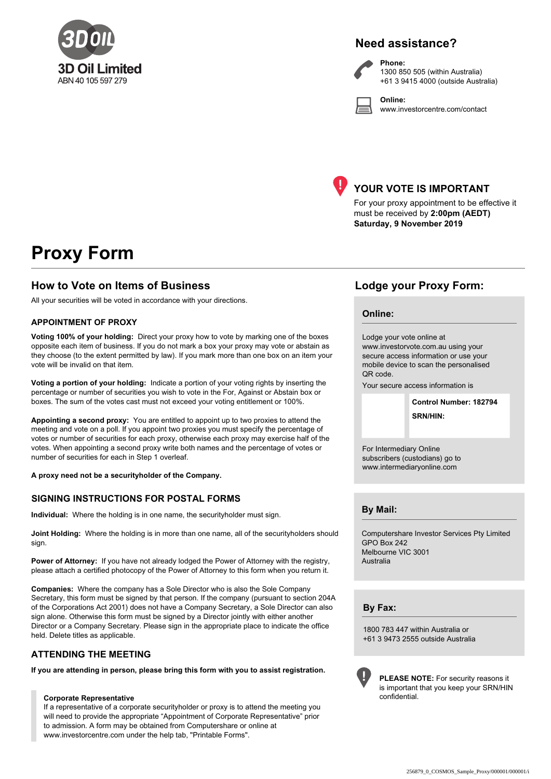

### **Need assistance?**

**Phone:**

**Online:**



1300 850 505 (within Australia) +61 3 9415 4000 (outside Australia)

www.investorcentre.com/contact



#### **YOUR VOTE IS IMPORTANT**

For your proxy appointment to be effective it must be received by **2:00pm (AEDT) Saturday, 9 November 2019**

## **Proxy Form**

#### **How to Vote on Items of Business Lodge your Proxy Form:**

All your securities will be voted in accordance with your directions.

#### **APPOINTMENT OF PROXY**

**Voting 100% of your holding:** Direct your proxy how to vote by marking one of the boxes opposite each item of business. If you do not mark a box your proxy may vote or abstain as they choose (to the extent permitted by law). If you mark more than one box on an item your vote will be invalid on that item.

**Voting a portion of your holding:** Indicate a portion of your voting rights by inserting the percentage or number of securities you wish to vote in the For, Against or Abstain box or boxes. The sum of the votes cast must not exceed your voting entitlement or 100%.

**Appointing a second proxy:** You are entitled to appoint up to two proxies to attend the meeting and vote on a poll. If you appoint two proxies you must specify the percentage of votes or number of securities for each proxy, otherwise each proxy may exercise half of the votes. When appointing a second proxy write both names and the percentage of votes or number of securities for each in Step 1 overleaf.

**A proxy need not be a securityholder of the Company.**

#### **SIGNING INSTRUCTIONS FOR POSTAL FORMS**

**Individual:** Where the holding is in one name, the securityholder must sign.

**Joint Holding:** Where the holding is in more than one name, all of the securityholders should sign.

Power of Attorney: If you have not already lodged the Power of Attorney with the registry, please attach a certified photocopy of the Power of Attorney to this form when you return it.

**Companies:** Where the company has a Sole Director who is also the Sole Company Secretary, this form must be signed by that person. If the company (pursuant to section 204A of the Corporations Act 2001) does not have a Company Secretary, a Sole Director can also sign alone. Otherwise this form must be signed by a Director jointly with either another Director or a Company Secretary. Please sign in the appropriate place to indicate the office held. Delete titles as applicable.

#### **ATTENDING THE MEETING**

**If you are attending in person, please bring this form with you to assist registration.**

#### **Corporate Representative**

If a representative of a corporate securityholder or proxy is to attend the meeting you will need to provide the appropriate "Appointment of Corporate Representative" prior to admission. A form may be obtained from Computershare or online at www.investorcentre.com under the help tab, "Printable Forms".

#### **Online:**

Lodge your vote online at www.investorvote.com.au using your secure access information or use your mobile device to scan the personalised QR code.

Your secure access information is

**SRN/HIN: Control Number: 182794**

For Intermediary Online subscribers (custodians) go to www.intermediaryonline.com

**By Mail:**

Computershare Investor Services Pty Limited GPO Box 242 Melbourne VIC 3001 Australia

**By Fax:**

1800 783 447 within Australia or +61 3 9473 2555 outside Australia



**PLEASE NOTE:** For security reasons it is important that you keep your SRN/HIN confidential.